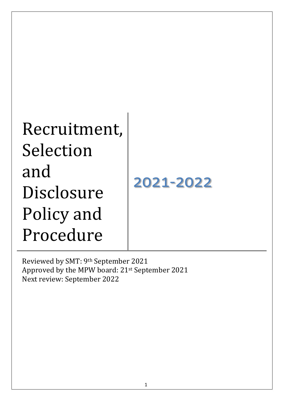| 2021-2022 |
|-----------|
|           |
|           |
|           |

Reviewed by SMT: 9th September 2021 Approved by the MPW board: 21st September 2021 Next review: September 2022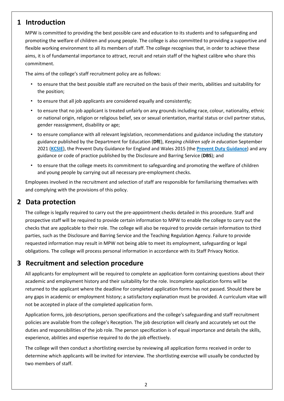### **1 Introduction**

MPW is committed to providing the best possible care and education to its students and to safeguarding and promoting the welfare of children and young people. The college is also committed to providing a supportive and flexible working environment to all its members of staff. The college recognises that, in order to achieve these aims, it is of fundamental importance to attract, recruit and retain staff of the highest calibre who share this commitment.

The aims of the college's staff recruitment policy are as follows:

- to ensure that the best possible staff are recruited on the basis of their merits, abilities and suitability for the position;
- to ensure that all job applicants are considered equally and consistently;
- to ensure that no job applicant is treated unfairly on any grounds including race, colour, nationality, ethnic or national origin, religion or religious belief, sex or sexual orientation, marital status or civil partner status, gender reassignment, disability or age;
- to ensure compliance with all relevant legislation, recommendations and guidance including the statutory guidance published by the Department for Education (**DfE**), *Keeping children safe in education* September 2021 (**[KCSIE](https://assets.publishing.service.gov.uk/government/uploads/system/uploads/attachment_data/file/1014057/KCSIE_2021_September.pdf)**), the Prevent Duty Guidance for England and Wales 2015 (the **[Prevent Duty Guidance](https://www.gov.uk/government/uploads/system/uploads/attachment_data/file/445977/3799_Revised_Prevent_Duty_Guidance__England_Wales_V2-Interactive.pdf)**) and any guidance or code of practice published by the Disclosure and Barring Service (**DBS**); and
- to ensure that the college meets its commitment to safeguarding and promoting the welfare of children and young people by carrying out all necessary pre-employment checks.

Employees involved in the recruitment and selection of staff are responsible for familiarising themselves with and complying with the provisions of this policy.

## **2 Data protection**

The college is legally required to carry out the pre-appointment checks detailed in this procedure. Staff and prospective staff will be required to provide certain information to MPW to enable the college to carry out the checks that are applicable to their role. The college will also be required to provide certain information to third parties, such as the Disclosure and Barring Service and the Teaching Regulation Agency. Failure to provide requested information may result in MPW not being able to meet its employment, safeguarding or legal obligations. The college will process personal information in accordance with its Staff Privacy Notice.

## **3 Recruitment and selection procedure**

All applicants for employment will be required to complete an application form containing questions about their academic and employment history and their suitability for the role. Incomplete application forms will be returned to the applicant where the deadline for completed application forms has not passed. Should there be any gaps in academic or employment history; a satisfactory explanation must be provided. A curriculum vitae will not be accepted in place of the completed application form.

Application forms, job descriptions, person specifications and the college's safeguarding and staff recruitment policies are available from the college's Reception. The job description will clearly and accurately set out the duties and responsibilities of the job role. The person specification is of equal importance and details the skills, experience, abilities and expertise required to do the job effectively.

The college will then conduct a shortlisting exercise by reviewing all application forms received in order to determine which applicants will be invited for interview. The shortlisting exercise will usually be conducted by two members of staff.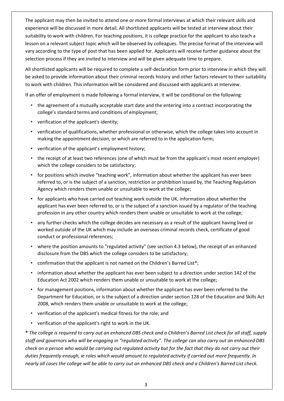The applicant may then be invited to attend one or more formal interviews at which their relevant skills and experience will be discussed in more detail. All shortlisted applicants will be tested at interview about their suitability to work with children. For teaching positions, it is college practice for the applicant to also teach a lesson on a relevant subject topic which will be observed by colleagues. The precise format of the interview will vary according to the type of post that has been applied for. Applicants will receive further guidance about the selection process if they are invited to interview and will be given adequate time to prepare.

All shortlisted applicants will be required to complete a self-declaration form prior to interview in which they will be asked to provide information about their criminal records history and other factors relevant to their suitability to work with children. This information will be considered and discussed with applicants at interview.

If an offer of employment is made following a formal interview, it will be conditional on the following:

- the agreement of a mutually acceptable start date and the entering into a contract incorporating the college's standard terms and conditions of employment;
- verification of the applicant's identity;
- verification of qualifications, whether professional or otherwise, which the college takes into account in making the appointment decision, or which are referred to in the application form;
- verification of the applicant's employment history;
- the receipt of at least two references (one of which must be from the applicant's most recent employer) which the college considers to be satisfactory;
- for positions which involve "teaching work", information about whether the applicant has ever been referred to, or is the subject of a sanction, restriction or prohibition issued by, the Teaching Regulation Agency which renders them unable or unsuitable to work at the college;
- for applicants who have carried out teaching work outside the UK, information about whether the applicant has ever been referred to, or is the subject of a sanction issued by a regulator of the teaching profession in any other country which renders them unable or unsuitable to work at the college;
- any further checks which the college decides are necessary as a result of the applicant having lived or worked outside of the UK which may include an overseas criminal records check, certificate of good conduct or professional references;
- where the position amounts to "regulated activity" (see section 4.3 below), the receipt of an enhanced disclosure from the DBS which the college considers to be satisfactory;
- confirmation that the applicant is not named on the Children's Barred List\*;
- information about whether the applicant has ever been subject to a direction under section 142 of the Education Act 2002 which renders them unable or unsuitable to work at the college;
- for management positions, information about whether the applicant has ever been referred to the Department for Education, or is the subject of a direction under section 128 of the Education and Skills Act 2008, which renders them unable or unsuitable to work at the college;
- verification of the applicant's medical fitness for the role; and
- verification of the applicant's right to work in the UK.

**\*** *The college is required to carry out an enhanced DBS check and a Children's Barred List check for all staff, supply staff and governors who will be engaging in "regulated activity". The college can also carry out an enhanced DBS check on a person who would be carrying out regulated activity but for the fact that they do not carry out their duties frequently enough, ie roles which would amount to regulated activity if carried out more frequently. In nearly all cases the college will be able to carry out an enhanced DBS check and a Children's Barred List check.*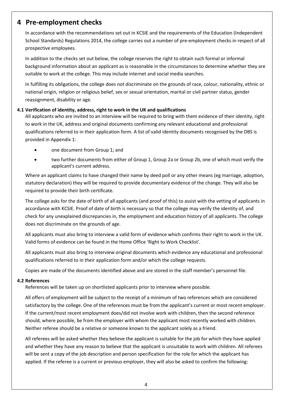# **4 Pre-employment checks**

In accordance with the recommendations set out in KCSIE and the requirements of the Education (Independent School Standards) Regulations 2014, the college carries out a number of pre-employment checks in respect of all prospective employees.

In addition to the checks set out below, the college reserves the right to obtain such formal or informal background information about an applicant as is reasonable in the circumstances to determine whether they are suitable to work at the college. This may include internet and social media searches.

In fulfilling its obligations, the college does not discriminate on the grounds of race, colour, nationality, ethnic or national origin, religion or religious belief, sex or sexual orientation, marital or civil partner status, gender reassignment, disability or age.

### **4.1 Verification of identity, address, right to work in the UK and qualifications**

All applicants who are invited to an interview will be required to bring with them evidence of their identity, right to work in the UK, address and original documents confirming any relevant educational and professional qualifications referred to in their application form. A list of valid identity documents recognised by the DBS is provided in Appendix 1:

- one document from Group 1; and
- two further documents from either of Group 1, Group 2a or Group 2b, one of which must verify the applicant's current address.

Where an applicant claims to have changed their name by deed poll or any other means (eg marriage, adoption, statutory declaration) they will be required to provide documentary evidence of the change. They will also be required to provide their birth certificate.

The college asks for the date of birth of all applicants (and proof of this) to assist with the vetting of applicants in accordance with KCSIE. Proof of date of birth is necessary so that the college may verify the identity of, and check for any unexplained discrepancies in, the employment and education history of all applicants. The college does not discriminate on the grounds of age.

All applicants must also bring to interview a valid form of evidence which confirms their right to work in the UK. Valid forms of evidence can be found in the Home Office 'Right to Work Checklist'.

All applicants must also bring to interview original documents which evidence any educational and professional qualifications referred to in their application form and/or which the college requests.

Copies are made of the documents identified above and are stored in the staff member's personnel file.

### **4.2 References**

References will be taken up on shortlisted applicants prior to interview where possible.

All offers of employment will be subject to the receipt of a minimum of two references which are considered satisfactory by the college. One of the references must be from the applicant's current or most recent employer. If the current/most recent employment does/did not involve work with children, then the second reference should, where possible, be from the employer with whom the applicant most recently worked with children. Neither referee should be a relative or someone known to the applicant solely as a friend.

All referees will be asked whether they believe the applicant is suitable for the job for which they have applied and whether they have any reason to believe that the applicant is unsuitable to work with children. All referees will be sent a copy of the job description and person specification for the role for which the applicant has applied. If the referee is a current or previous employer, they will also be asked to confirm the following: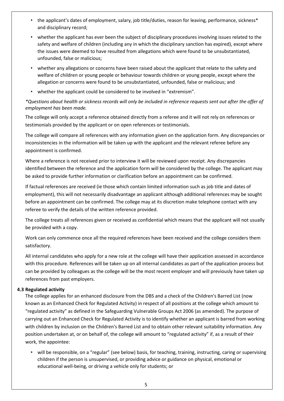- the applicant's dates of employment, salary, job title/duties, reason for leaving, performance, sickness\* and disciplinary record;
- whether the applicant has ever been the subject of disciplinary procedures involving issues related to the safety and welfare of children (including any in which the disciplinary sanction has expired), except where the issues were deemed to have resulted from allegations which were found to be unsubstantiated, unfounded, false or malicious;
- whether any allegations or concerns have been raised about the applicant that relate to the safety and welfare of children or young people or behaviour towards children or young people, except where the allegation or concerns were found to be unsubstantiated, unfounded, false or malicious; and
- whether the applicant could be considered to be involved in "extremism".

*\*Questions about health or sickness records will only be included in reference requests sent out after the offer of employment has been made.*

The college will only accept a reference obtained directly from a referee and it will not rely on references or testimonials provided by the applicant or on open references or testimonials.

The college will compare all references with any information given on the application form. Any discrepancies or inconsistencies in the information will be taken up with the applicant and the relevant referee before any appointment is confirmed.

Where a reference is not received prior to interview it will be reviewed upon receipt. Any discrepancies identified between the reference and the application form will be considered by the college. The applicant may be asked to provide further information or clarification before an appointment can be confirmed.

If factual references are received (ie those which contain limited information such as job title and dates of employment), this will not necessarily disadvantage an applicant although additional references may be sought before an appointment can be confirmed. The college may at its discretion make telephone contact with any referee to verify the details of the written reference provided.

The college treats all references given or received as confidential which means that the applicant will not usually be provided with a copy.

Work can only commence once all the required references have been received and the college considers them satisfactory.

All internal candidates who apply for a new role at the college will have their application assessed in accordance with this procedure. References will be taken up on all internal candidates as part of the application process but can be provided by colleagues as the college will be the most recent employer and will previously have taken up references from past employers.

### **4.3 Regulated activity**

The college applies for an enhanced disclosure from the DBS and a check of the Children's Barred List (now known as an Enhanced Check for Regulated Activity) in respect of all positions at the college which amount to "regulated activity" as defined in the Safeguarding Vulnerable Groups Act 2006 (as amended). The purpose of carrying out an Enhanced Check for Regulated Activity is to identify whether an applicant is barred from working with children by inclusion on the Children's Barred List and to obtain other relevant suitability information. Any position undertaken at, or on behalf of, the college will amount to "regulated activity" if, as a result of their work, the appointee:

• will be responsible, on a "regular" (see below) basis, for teaching, training, instructing, caring or supervising children if the person is unsupervised, or providing advice or guidance on physical, emotional or educational well-being, or driving a vehicle only for students; or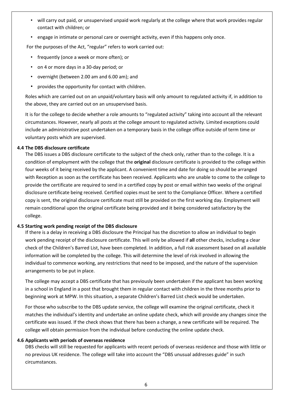- will carry out paid, or unsupervised unpaid work regularly at the college where that work provides regular contact with children; or
- engage in intimate or personal care or overnight activity, even if this happens only once.

For the purposes of the Act, "regular" refers to work carried out:

- frequently (once a week or more often); or
- on 4 or more days in a 30-day period; or
- overnight (between 2.00 am and 6.00 am); and
- provides the opportunity for contact with children.

Roles which are carried out on an unpaid/voluntary basis will only amount to regulated activity if, in addition to the above, they are carried out on an unsupervised basis.

It is for the college to decide whether a role amounts to "regulated activity" taking into account all the relevant circumstances. However, nearly all posts at the college amount to regulated activity. Limited exceptions could include an administrative post undertaken on a temporary basis in the college office outside of term time or voluntary posts which are supervised.

#### **4.4 The DBS disclosure certificate**

The DBS issues a DBS disclosure certificate to the subject of the check only, rather than to the college. It is a condition of employment with the college that the **original** disclosure certificate is provided to the college within four weeks of it being received by the applicant. A convenient time and date for doing so should be arranged with Reception as soon as the certificate has been received. Applicants who are unable to come to the college to provide the certificate are required to send in a certified copy by post or email within two weeks of the original disclosure certificate being received. Certified copies must be sent to the Compliance Officer. Where a certified copy is sent, the original disclosure certificate must still be provided on the first working day. Employment will remain conditional upon the original certificate being provided and it being considered satisfactory by the college.

#### **4.5 Starting work pending receipt of the DBS disclosure**

If there is a delay in receiving a DBS disclosure the Principal has the discretion to allow an individual to begin work pending receipt of the disclosure certificate. This will only be allowed if **all** other checks, including a clear check of the Children's Barred List, have been completed. In addition, a full risk assessment based on all available information will be completed by the college. This will determine the level of risk involved in allowing the individual to commence working, any restrictions that need to be imposed, and the nature of the supervision arrangements to be put in place.

The college may accept a DBS certificate that has previously been undertaken if the applicant has been working in a school in England in a post that brought them in regular contact with children in the three months prior to beginning work at MPW. In this situation, a separate Children's Barred List check would be undertaken.

For those who subscribe to the DBS update service, the college will examine the original certificate, check it matches the individual's identity and undertake an online update check, which will provide any changes since the certificate was issued. If the check shows that there has been a change, a new certificate will be required. The college will obtain permission from the individual before conducting the online update check.

### **4.6 Applicants with periods of overseas residence**

DBS checks will still be requested for applicants with recent periods of overseas residence and those with little or no previous UK residence. The college will take into account the "DBS unusual addresses guide" in such circumstances.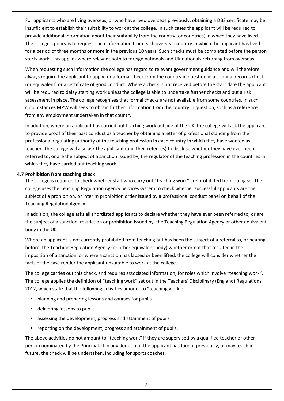For applicants who are living overseas, or who have lived overseas previously, obtaining a DBS certificate may be insufficient to establish their suitability to work at the college. In such cases the applicant will be required to provide additional information about their suitability from the country (or countries) in which they have lived. The college's policy is to request such information from each overseas country in which the applicant has lived for a period of three months or more in the previous 10 years. Such checks must be completed before the person starts work. This applies where relevant both to foreign nationals and UK nationals returning from overseas.

When requesting such information the college has regard to relevant government guidance and will therefore always require the applicant to apply for a formal check from the country in question ie a criminal records check (or equivalent) or a certificate of good conduct. Where a check is not received before the start date the applicant will be required to delay starting work unless the college is able to undertake further checks and put a risk assessment in place. The college recognises that formal checks are not available from some countries. In such circumstances MPW will seek to obtain further information from the country in question, such as a reference from any employment undertaken in that country.

In addition, where an applicant has carried out teaching work outside of the UK, the college will ask the applicant to provide proof of their past conduct as a teacher by obtaining a letter of professional standing from the professional regulating authority of the teaching profession in each country in which they have worked as a teacher. The college will also ask the applicant (and their referees) to disclose whether they have ever been referred to, or are the subject of a sanction issued by, the regulator of the teaching profession in the countries in which they have carried out teaching work.

### **4.7 Prohibition from teaching check**

The college is required to check whether staff who carry out "teaching work" are prohibited from doing so. The college uses the Teaching Regulation Agency Services system to check whether successful applicants are the subject of a prohibition, or interim prohibition order issued by a professional conduct panel on behalf of the Teaching Regulation Agency.

In addition, the college asks all shortlisted applicants to declare whether they have ever been referred to, or are the subject of a sanction, restriction or prohibition issued by, the Teaching Regulation Agency or other equivalent body in the UK.

Where an applicant is not currently prohibited from teaching but has been the subject of a referral to, or hearing before, the Teaching Regulation Agency (or other equivalent body) whether or not that resulted in the imposition of a sanction, or where a sanction has lapsed or been lifted, the college will consider whether the facts of the case render the applicant unsuitable to work at the college.

The college carries out this check, and requires associated information, for roles which involve "teaching work". The college applies the definition of "teaching work" set out in the Teachers' Disciplinary (England) Regulations 2012, which state that the following activities amount to "teaching work":

- planning and preparing lessons and courses for pupils
- delivering lessons to pupils
- assessing the development, progress and attainment of pupils
- reporting on the development, progress and attainment of pupils.

The above activities do not amount to "teaching work" if they are supervised by a qualified teacher or other person nominated by the Principal. If in any doubt or if the applicant has taught previously, or may teach in future, the check will be undertaken, including for sports coaches.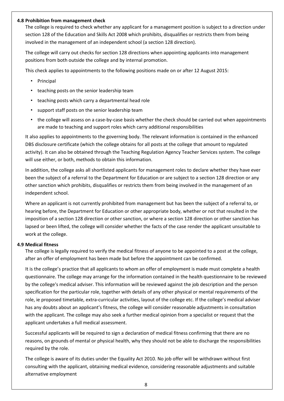#### **4.8 Prohibition from management check**

The college is required to check whether any applicant for a management position is subject to a direction under section 128 of the Education and Skills Act 2008 which prohibits, disqualifies or restricts them from being involved in the management of an independent school (a section 128 direction).

The college will carry out checks for section 128 directions when appointing applicants into management positions from both outside the college and by internal promotion.

This check applies to appointments to the following positions made on or after 12 August 2015:

- Principal
- teaching posts on the senior leadership team
- teaching posts which carry a departmental head role
- support staff posts on the senior leadership team
- the college will assess on a case-by-case basis whether the check should be carried out when appointments are made to teaching and support roles which carry additional responsibilities

It also applies to appointments to the governing body. The relevant information is contained in the enhanced DBS disclosure certificate (which the college obtains for all posts at the college that amount to regulated activity). It can also be obtained through the Teaching Regulation Agency Teacher Services system. The college will use either, or both, methods to obtain this information.

In addition, the college asks all shortlisted applicants for management roles to declare whether they have ever been the subject of a referral to the Department for Education or are subject to a section 128 direction or any other sanction which prohibits, disqualifies or restricts them from being involved in the management of an independent school.

Where an applicant is not currently prohibited from management but has been the subject of a referral to, or hearing before, the Department for Education or other appropriate body, whether or not that resulted in the imposition of a section 128 direction or other sanction, or where a section 128 direction or other sanction has lapsed or been lifted, the college will consider whether the facts of the case render the applicant unsuitable to work at the college.

#### **4.9 Medical fitness**

The college is legally required to verify the medical fitness of anyone to be appointed to a post at the college, after an offer of employment has been made but before the appointment can be confirmed.

It is the college's practice that all applicants to whom an offer of employment is made must complete a health questionnaire. The college may arrange for the information contained in the health questionnaire to be reviewed by the college's medical adviser. This information will be reviewed against the job description and the person specification for the particular role, together with details of any other physical or mental requirements of the role, ie proposed timetable, extra-curricular activities, layout of the college etc. If the college's medical adviser has any doubts about an applicant's fitness, the college will consider reasonable adjustments in consultation with the applicant. The college may also seek a further medical opinion from a specialist or request that the applicant undertakes a full medical assessment.

Successful applicants will be required to sign a declaration of medical fitness confirming that there are no reasons, on grounds of mental or physical health, why they should not be able to discharge the responsibilities required by the role.

The college is aware of its duties under the Equality Act 2010. No job offer will be withdrawn without first consulting with the applicant, obtaining medical evidence, considering reasonable adjustments and suitable alternative employment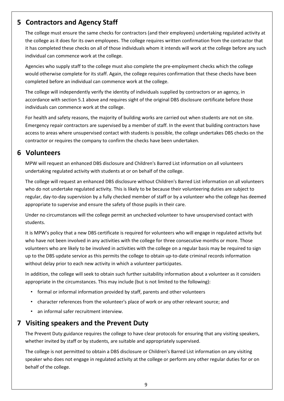## **5 Contractors and Agency Staff**

The college must ensure the same checks for contractors (and their employees) undertaking regulated activity at the college as it does for its own employees. The college requires written confirmation from the contractor that it has completed these checks on all of those individuals whom it intends will work at the college before any such individual can commence work at the college.

Agencies who supply staff to the college must also complete the pre-employment checks which the college would otherwise complete for its staff. Again, the college requires confirmation that these checks have been completed before an individual can commence work at the college.

The college will independently verify the identity of individuals supplied by contractors or an agency, in accordance with section 5.1 above and requires sight of the original DBS disclosure certificate before those individuals can commence work at the college.

For health and safety reasons, the majority of building works are carried out when students are not on site. Emergency repair contractors are supervised by a member of staff. In the event that building contractors have access to areas where unsupervised contact with students is possible, the college undertakes DBS checks on the contractor or requires the company to confirm the checks have been undertaken.

## **6 Volunteers**

MPW will request an enhanced DBS disclosure and Children's Barred List information on all volunteers undertaking regulated activity with students at or on behalf of the college.

The college will request an enhanced DBS disclosure without Children's Barred List information on all volunteers who do not undertake regulated activity. This is likely to be because their volunteering duties are subject to regular, day-to-day supervision by a fully checked member of staff or by a volunteer who the college has deemed appropriate to supervise and ensure the safety of those pupils in their care.

Under no circumstances will the college permit an unchecked volunteer to have unsupervised contact with students.

It is MPW's policy that a new DBS certificate is required for volunteers who will engage in regulated activity but who have not been involved in any activities with the college for three consecutive months or more. Those volunteers who are likely to be involved in activities with the college on a regular basis may be required to sign up to the DBS update service as this permits the college to obtain up-to-date criminal records information without delay prior to each new activity in which a volunteer participates.

In addition, the college will seek to obtain such further suitability information about a volunteer as it considers appropriate in the circumstances. This may include (but is not limited to the following):

- formal or informal information provided by staff, parents and other volunteers
- character references from the volunteer's place of work or any other relevant source; and
- an informal safer recruitment interview.

# **7 Visiting speakers and the Prevent Duty**

The Prevent Duty guidance requires the college to have clear protocols for ensuring that any visiting speakers, whether invited by staff or by students, are suitable and appropriately supervised.

The college is not permitted to obtain a DBS disclosure or Children's Barred List information on any visiting speaker who does not engage in regulated activity at the college or perform any other regular duties for or on behalf of the college.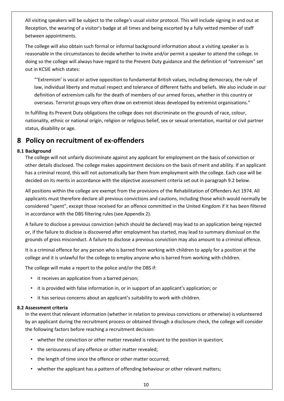All visiting speakers will be subject to the college's usual visitor protocol. This will include signing in and out at Reception, the wearing of a visitor's badge at all times and being escorted by a fully vetted member of staff between appointments.

The college will also obtain such formal or informal background information about a visiting speaker as is reasonable in the circumstances to decide whether to invite and/or permit a speaker to attend the college. In doing so the college will always have regard to the Prevent Duty guidance and the definition of "extremism" set out in KCSIE which states:

"'Extremism' is vocal or active opposition to fundamental British values, including democracy, the rule of law, individual liberty and mutual respect and tolerance of different faiths and beliefs. We also include in our definition of extremism calls for the death of members of our armed forces, whether in this country or overseas. Terrorist groups very often draw on extremist ideas developed by extremist organisations."

In fulfilling its Prevent Duty obligations the college does not discriminate on the grounds of race, colour, nationality, ethnic or national origin, religion or religious belief, sex or sexual orientation, marital or civil partner status, disability or age.

# **8 Policy on recruitment of ex-offenders**

### **8.1 Background**

The college will not unfairly discriminate against any applicant for employment on the basis of conviction or other details disclosed. The college makes appointment decisions on the basis of merit and ability. If an applicant has a criminal record, this will not automatically bar them from employment with the college. Each case will be decided on its merits in accordance with the objective assessment criteria set out in paragraph 9.2 below.

All positions within the college are exempt from the provisions of the Rehabilitation of Offenders Act 1974. All applicants must therefore declare all previous convictions and cautions, including those which would normally be considered "spent", except those received for an offence committed in the United Kingdom if it has been filtered in accordance with the DBS filtering rules (see Appendix 2).

A failure to disclose a previous conviction (which should be declared) may lead to an application being rejected or, if the failure to disclose is discovered after employment has started, may lead to summary dismissal on the grounds of gross misconduct. A failure to disclose a previous conviction may also amount to a criminal offence.

It is a criminal offence for any person who is barred from working with children to apply for a position at the college and it is unlawful for the college to employ anyone who is barred from working with children.

The college will make a report to the police and/or the DBS if:

- it receives an application from a barred person;
- it is provided with false information in, or in support of an applicant's application; or
- it has serious concerns about an applicant's suitability to work with children.

### **8.2 Assessment criteria**

In the event that relevant information (whether in relation to previous convictions or otherwise) is volunteered by an applicant during the recruitment process or obtained through a disclosure check, the college will consider the following factors before reaching a recruitment decision:

- whether the conviction or other matter revealed is relevant to the position in question;
- the seriousness of any offence or other matter revealed;
- the length of time since the offence or other matter occurred;
- whether the applicant has a pattern of offending behaviour or other relevant matters;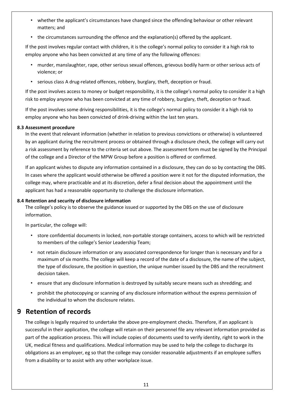- whether the applicant's circumstances have changed since the offending behaviour or other relevant matters; and
- the circumstances surrounding the offence and the explanation(s) offered by the applicant.

If the post involves regular contact with children, it is the college's normal policy to consider it a high risk to employ anyone who has been convicted at any time of any the following offences:

- murder, manslaughter, rape, other serious sexual offences, grievous bodily harm or other serious acts of violence; or
- serious class A drug-related offences, robbery, burglary, theft, deception or fraud.

If the post involves access to money or budget responsibility, it is the college's normal policy to consider it a high risk to employ anyone who has been convicted at any time of robbery, burglary, theft, deception or fraud.

If the post involves some driving responsibilities, it is the college's normal policy to consider it a high risk to employ anyone who has been convicted of drink-driving within the last ten years.

### **8.3 Assessment procedure**

In the event that relevant information (whether in relation to previous convictions or otherwise) is volunteered by an applicant during the recruitment process or obtained through a disclosure check, the college will carry out a risk assessment by reference to the criteria set out above. The assessment form must be signed by the Principal of the college and a Director of the MPW Group before a position is offered or confirmed.

If an applicant wishes to dispute any information contained in a disclosure, they can do so by contacting the DBS. In cases where the applicant would otherwise be offered a position were it not for the disputed information, the college may, where practicable and at its discretion, defer a final decision about the appointment until the applicant has had a reasonable opportunity to challenge the disclosure information.

#### **8.4 Retention and security of disclosure information**

The college's policy is to observe the guidance issued or supported by the DBS on the use of disclosure information.

In particular, the college will:

- store confidential documents in locked, non-portable storage containers, access to which will be restricted to members of the college's Senior Leadership Team;
- not retain disclosure information or any associated correspondence for longer than is necessary and for a maximum of six months. The college will keep a record of the date of a disclosure, the name of the subject, the type of disclosure, the position in question, the unique number issued by the DBS and the recruitment decision taken.
- ensure that any disclosure information is destroyed by suitably secure means such as shredding; and
- prohibit the photocopying or scanning of any disclosure information without the express permission of the individual to whom the disclosure relates.

### **9 Retention of records**

The college is legally required to undertake the above pre-employment checks. Therefore, if an applicant is successful in their application, the college will retain on their personnel file any relevant information provided as part of the application process. This will include copies of documents used to verify identity, right to work in the UK, medical fitness and qualifications. Medical information may be used to help the college to discharge its obligations as an employer, eg so that the college may consider reasonable adjustments if an employee suffers from a disability or to assist with any other workplace issue.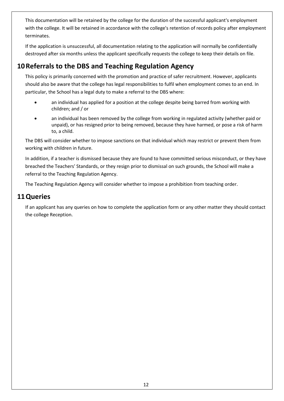This documentation will be retained by the college for the duration of the successful applicant's employment with the college. It will be retained in accordance with the college's retention of records policy after employment terminates.

If the application is unsuccessful, all documentation relating to the application will normally be confidentially destroyed after six months unless the applicant specifically requests the college to keep their details on file.

# **10Referrals to the DBS and Teaching Regulation Agency**

This policy is primarily concerned with the promotion and practice of safer recruitment. However, applicants should also be aware that the college has legal responsibilities to fulfil when employment comes to an end. In particular, the School has a legal duty to make a referral to the DBS where:

- an individual has applied for a position at the college despite being barred from working with children; and / or
- an individual has been removed by the college from working in regulated activity (whether paid or unpaid), or has resigned prior to being removed, because they have harmed, or pose a risk of harm to, a child.

The DBS will consider whether to impose sanctions on that individual which may restrict or prevent them from working with children in future.

In addition, if a teacher is dismissed because they are found to have committed serious misconduct, or they have breached the Teachers' Standards, or they resign prior to dismissal on such grounds, the School will make a referral to the Teaching Regulation Agency.

The Teaching Regulation Agency will consider whether to impose a prohibition from teaching order.

### **11Queries**

If an applicant has any queries on how to complete the application form or any other matter they should contact the college Reception.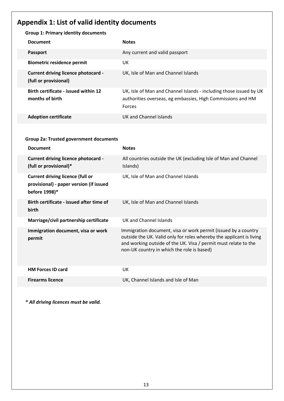# **Appendix 1: List of valid identity documents**

| <b>Group 1: Primary identity documents</b>                          |                                                                    |  |  |  |
|---------------------------------------------------------------------|--------------------------------------------------------------------|--|--|--|
| <b>Document</b>                                                     | <b>Notes</b>                                                       |  |  |  |
| <b>Passport</b>                                                     | Any current and valid passport                                     |  |  |  |
| <b>Biometric residence permit</b>                                   | UK.                                                                |  |  |  |
| <b>Current driving licence photocard -</b><br>(full or provisional) | UK, Isle of Man and Channel Islands                                |  |  |  |
| <b>Birth certificate - issued within 12</b>                         | UK, Isle of Man and Channel Islands - including those issued by UK |  |  |  |
| months of birth                                                     | authorities overseas, eg embassies, High Commissions and HM        |  |  |  |
|                                                                     | <b>Forces</b>                                                      |  |  |  |
| <b>Adoption certificate</b>                                         | UK and Channel Islands                                             |  |  |  |

### **Group 2a: Trusted government documents**

| <b>Document</b>                                                                                     | <b>Notes</b>                                                                                                                                                                                                                                            |
|-----------------------------------------------------------------------------------------------------|---------------------------------------------------------------------------------------------------------------------------------------------------------------------------------------------------------------------------------------------------------|
| <b>Current driving licence photocard -</b><br>(full or provisional)*                                | All countries outside the UK (excluding Isle of Man and Channel<br>Islands)                                                                                                                                                                             |
| <b>Current driving licence (full or</b><br>provisional) - paper version (if issued<br>before 1998)* | UK, Isle of Man and Channel Islands                                                                                                                                                                                                                     |
| Birth certificate - issued after time of<br>birth                                                   | UK, Isle of Man and Channel Islands                                                                                                                                                                                                                     |
| Marriage/civil partnership certificate                                                              | UK and Channel Islands                                                                                                                                                                                                                                  |
| Immigration document, visa or work<br>permit                                                        | Immigration document, visa or work permit (issued by a country<br>outside the UK. Valid only for roles whereby the applicant is living<br>and working outside of the UK. Visa / permit must relate to the<br>non-UK country in which the role is based) |
| <b>HM Forces ID card</b>                                                                            | UK                                                                                                                                                                                                                                                      |
| <b>Firearms licence</b>                                                                             | UK, Channel Islands and Isle of Man                                                                                                                                                                                                                     |

*\* All driving licences must be valid.*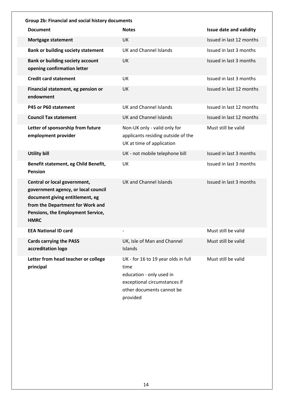| Group 2b: Financial and social history documents                                                                                                                                               |                                                                                                                                                  |                                |  |  |
|------------------------------------------------------------------------------------------------------------------------------------------------------------------------------------------------|--------------------------------------------------------------------------------------------------------------------------------------------------|--------------------------------|--|--|
| <b>Document</b>                                                                                                                                                                                | <b>Notes</b>                                                                                                                                     | <b>Issue date and validity</b> |  |  |
| <b>Mortgage statement</b>                                                                                                                                                                      | UK                                                                                                                                               | Issued in last 12 months       |  |  |
| <b>Bank or building society statement</b>                                                                                                                                                      | <b>UK and Channel Islands</b>                                                                                                                    | Issued in last 3 months        |  |  |
| <b>Bank or building society account</b><br>opening confirmation letter                                                                                                                         | UK                                                                                                                                               | Issued in last 3 months        |  |  |
| <b>Credit card statement</b>                                                                                                                                                                   | UK                                                                                                                                               | Issued in last 3 months        |  |  |
| Financial statement, eg pension or<br>endowment                                                                                                                                                | UK                                                                                                                                               | Issued in last 12 months       |  |  |
| P45 or P60 statement                                                                                                                                                                           | <b>UK and Channel Islands</b>                                                                                                                    | Issued in last 12 months       |  |  |
| <b>Council Tax statement</b>                                                                                                                                                                   | <b>UK and Channel Islands</b>                                                                                                                    | Issued in last 12 months       |  |  |
| Letter of sponsorship from future<br>employment provider                                                                                                                                       | Non-UK only - valid only for<br>applicants residing outside of the<br>UK at time of application                                                  | Must still be valid            |  |  |
| <b>Utility bill</b>                                                                                                                                                                            | UK - not mobile telephone bill                                                                                                                   | Issued in last 3 months        |  |  |
| Benefit statement, eg Child Benefit,<br><b>Pension</b>                                                                                                                                         | UK                                                                                                                                               | Issued in last 3 months        |  |  |
| Central or local government,<br>government agency, or local council<br>document giving entitlement, eg<br>from the Department for Work and<br>Pensions, the Employment Service,<br><b>HMRC</b> | <b>UK and Channel Islands</b>                                                                                                                    | Issued in last 3 months        |  |  |
| <b>EEA National ID card</b>                                                                                                                                                                    |                                                                                                                                                  | Must still be valid            |  |  |
| <b>Cards carrying the PASS</b><br>accreditation logo                                                                                                                                           | UK, Isle of Man and Channel<br>Islands                                                                                                           | Must still be valid            |  |  |
| Letter from head teacher or college<br>principal                                                                                                                                               | UK - for 16 to 19 year olds in full<br>time<br>education - only used in<br>exceptional circumstances if<br>other documents cannot be<br>provided | Must still be valid            |  |  |